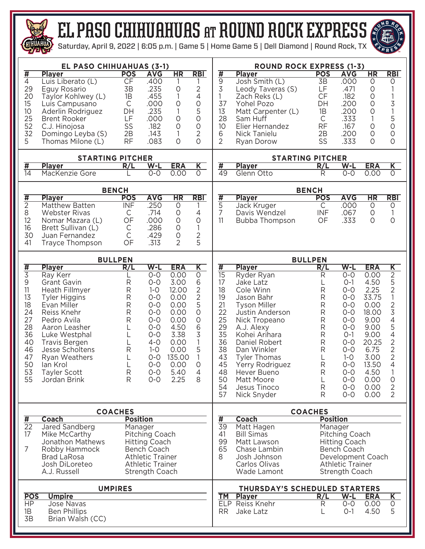

## el paso CHIHUAHUAS at round rock EXPRESS

T

Saturday, April 9, 2022 | 6:05 p.m. | Game 5 | Home Game 5 | Dell Diamond | Round Rock, TX



|                         | EL PASO CHIHUAHUAS (3-1)          |                            |                                        |                | <b>ROUND ROCK EXPRESS (1-3)</b> |                         |                                 |                            |                                        |                        |                                       |  |  |  |  |  |
|-------------------------|-----------------------------------|----------------------------|----------------------------------------|----------------|---------------------------------|-------------------------|---------------------------------|----------------------------|----------------------------------------|------------------------|---------------------------------------|--|--|--|--|--|
| $\overline{\sharp}$     | <b>Player</b>                     | <b>POS</b>                 | <b>AVG</b>                             | HR             | <b>RBI</b>                      | #                       | <b>Player</b>                   | <b>POS</b>                 | <b>AVG</b>                             | $\overline{\text{HR}}$ | <b>RBI</b>                            |  |  |  |  |  |
| $\overline{4}$          | Luis Liberato (L)                 | CF                         | .400                                   |                |                                 | $\overline{9}$          | Josh Smith (L)                  | $\overline{3B}$            | .000                                   | $\mathsf O$            | O                                     |  |  |  |  |  |
| 29                      | Eguy Rosario                      | 3B                         | .235                                   | 0              | $\overline{2}$                  | $\overline{3}$          | Leody Taveras (S)               | LF                         | .471                                   | $\circ$                |                                       |  |  |  |  |  |
| 20                      | Taylor Kohlwey (L)                | 1B                         | .455                                   | 1              | $\overline{4}$                  | 1                       | Zach Reks (L)                   | CF                         | .182                                   | 0                      | 1                                     |  |  |  |  |  |
| 15                      | Luis Campusano                    | $\mathsf{C}$               | .000                                   | $\circ$        | $\circ$                         | 37                      | Yohel Pozo                      | DH                         | .200                                   | 0                      | $\frac{3}{1}$                         |  |  |  |  |  |
| 10                      | Aderlin Rodriguez                 | DH                         | .235                                   | 1              | 5                               | 13                      | Matt Carpenter (L)              | 1B                         | .200                                   | O                      |                                       |  |  |  |  |  |
| 25                      | <b>Brent Rooker</b>               | LF                         | .000                                   | 0              | $\circ$                         | 28                      | Sam Huff                        | C                          | .333                                   | 1                      | $\begin{array}{c} 5 \\ 0 \end{array}$ |  |  |  |  |  |
| 52                      | C.J. Hinojosa                     | SS                         | .182                                   | 0              | $\circ$                         | 10                      | Elier Hernandez                 | <b>RF</b>                  | .167                                   | O                      |                                       |  |  |  |  |  |
| 32                      | Domingo Leyba (S)                 | 2B                         | .143                                   | 1              | $\overline{2}$                  | 6                       | Nick Tanielu                    | 2B                         | .200                                   | 0                      | $\circ$                               |  |  |  |  |  |
| 5                       | Thomas Milone (L)                 | <b>RF</b>                  | .083                                   | $\circ$        | $\overline{O}$                  | $\overline{2}$          | Ryan Dorow                      | SS                         | .333                                   | $\circ$                | $\circ$                               |  |  |  |  |  |
|                         |                                   |                            |                                        |                |                                 |                         |                                 |                            |                                        |                        |                                       |  |  |  |  |  |
|                         | <b>STARTING PITCHER</b>           | <b>STARTING PITCHER</b>    |                                        |                |                                 |                         |                                 |                            |                                        |                        |                                       |  |  |  |  |  |
| #                       | <b>Player</b>                     | R/L                        | $W-L$                                  | <b>ERA</b>     | $\overline{\mathsf{K}}$         | $\overline{\textbf{H}}$ | <b>Player</b>                   | R/L                        | $W-L$                                  | <b>ERA</b>             | $\overline{\mathsf{K}}$               |  |  |  |  |  |
| $\overline{14}$         | MacKenzie Gore                    |                            | $0-0$                                  | 0.00           | $\overline{O}$                  | $\overline{49}$         | Glenn Otto                      | R                          | $O - O$                                | 0.00                   | $\overline{O}$                        |  |  |  |  |  |
|                         |                                   |                            |                                        |                |                                 |                         |                                 |                            |                                        |                        |                                       |  |  |  |  |  |
|                         | <b>Player</b>                     | <b>BENCH</b><br><b>POS</b> | <b>AVG</b>                             | HR             | <b>RBI</b>                      |                         | <b>Player</b>                   | <b>BENCH</b><br><b>POS</b> | <b>AVG</b>                             | <b>HR</b>              | <b>RBI</b>                            |  |  |  |  |  |
| $\frac{1}{2}$           | Matthew Batten                    | <b>INF</b>                 | .250                                   | $\overline{O}$ |                                 | $\frac{1}{4}$           | Jack Kruger                     | $\overline{C}$             | .000                                   | O                      | $\circ$                               |  |  |  |  |  |
| $\,8\,$                 | <b>Webster Rivas</b>              | C                          | .714                                   | $\circ$        | $\overline{4}$                  | 7                       | Davis Wendzel                   | <b>INF</b>                 | .067                                   | 0                      |                                       |  |  |  |  |  |
| 12                      | Nomar Mazara (L)                  | OF                         | .000                                   | $\circ$        | $\circ$                         | 11                      | Bubba Thompson                  | OF                         | .333                                   | $\circ$                | $\circ$                               |  |  |  |  |  |
| 16                      | Brett Sullivan (L)                | $\mathsf C$                | .286                                   | $\mathsf O$    | 1                               |                         |                                 |                            |                                        |                        |                                       |  |  |  |  |  |
| 30                      | Juan Fernandez                    | $\mathsf{C}$               | .429                                   | $\mathsf O$    |                                 |                         |                                 |                            |                                        |                        |                                       |  |  |  |  |  |
| 41                      | Trayce Thompson                   | OF                         | .313                                   | $\overline{2}$ | $\sqrt{2}$<br>5                 |                         |                                 |                            |                                        |                        |                                       |  |  |  |  |  |
|                         |                                   |                            |                                        |                |                                 |                         |                                 |                            |                                        |                        |                                       |  |  |  |  |  |
|                         |                                   | <b>BULLPEN</b>             |                                        |                | <b>BULLPEN</b>                  |                         |                                 |                            |                                        |                        |                                       |  |  |  |  |  |
| $\frac{1}{3}$           | <b>Player</b>                     | R/L                        | $W-L$                                  | <b>ERA</b>     | $\overline{\mathsf{K}}$         | <u>#</u>                | <b>Player</b>                   | R/L                        | $W-L$                                  | <b>ERA</b>             | $\overline{\mathsf{K}}$               |  |  |  |  |  |
|                         | Ray Kerr                          |                            | $O-O$                                  | 0.00           | $\circ$                         | $\overline{15}$         | Ryder Ryan                      | R                          | $O-O$                                  | 0.00                   | $\overline{2}$                        |  |  |  |  |  |
| 9                       | <b>Grant Gavin</b>                | ${\sf R}$                  | $0 - 0$                                | 3.00           | 6                               | 17                      | Jake Latz                       | L                          | $O-1$                                  | 4.50                   | 5                                     |  |  |  |  |  |
| 11                      | Heath Fillmyer                    | ${\sf R}$                  | $1-0$                                  | 12.00          | $\overline{2}$                  | 18                      | Cole Winn                       | R                          | $0 - 0$                                | 2.25                   | $\overline{2}$                        |  |  |  |  |  |
| 13                      | <b>Tyler Higgins</b>              | $\mathsf{R}$               | $O - O$                                | 0.00           | $\overline{2}$                  | 19                      | Jason Bahr                      | R                          | $O-O$                                  | 33.75                  | 1                                     |  |  |  |  |  |
| 18                      | Evan Miller                       | $\mathsf{R}$               | $O - O$                                | 0.00           | 5                               | 21                      | <b>Tyson Miller</b>             | R                          | $O - O$                                | 0.00                   | $\frac{2}{3}$                         |  |  |  |  |  |
| 24                      | Reiss Knehr                       | $\mathsf{R}$               | $0 - 0$                                | 0.00           | $\circ$                         | 22                      | Justin Anderson                 | R                          | $O-O$                                  | 18.00                  |                                       |  |  |  |  |  |
| 27                      | Pedro Avila                       | $\mathsf{R}$               | $0 - 0$                                | 0.00           | $\circ$                         | 25                      | Nick Tropeano                   | R                          | $O-O$                                  | 9.00                   | $\overline{4}$                        |  |  |  |  |  |
| 28                      | Aaron Leasher                     |                            | $0 - 0$                                | 4.50           | 6                               | 29                      | A.J. Alexy                      | R                          | $0 - 0$                                | 9.00                   | 5                                     |  |  |  |  |  |
| 36                      | Luke Westphal                     |                            | $O-O$                                  | 3.38           | 3                               | 35                      | Kohei Arihara                   | R                          | $O-1$                                  | 9.00                   | $\overline{4}$                        |  |  |  |  |  |
| 40                      | <b>Travis Bergen</b>              | L                          | $4 - 0$                                | 0.00           | 1                               | 36                      | Daniel Robert                   | R                          | $0 - 0$                                | 20.25                  | $\overline{2}$                        |  |  |  |  |  |
| 46                      | Jesse Scholtens                   | $\mathsf{R}$               | $1 - 0$                                | 0.00           | 5                               | 38                      | Dan Winkler                     | R                          | $O-O$                                  | 6.75                   | $\overline{2}$                        |  |  |  |  |  |
| 47                      | Ryan Weathers                     | L                          | $0 - 0$                                | 135.00         |                                 | 43                      | <b>Tyler Thomas</b>             | L                          | $1-0$                                  | 3.00                   | $\overline{2}$                        |  |  |  |  |  |
| 50                      | lan Krol                          | L                          | $O - O$                                | 0.00           | 0                               | 45                      | Yerry Rodriguez                 | R                          | $0 - 0$                                | 13.50                  | 4                                     |  |  |  |  |  |
| 53                      | <b>Tayler Scott</b>               | ${\sf R}$                  | $O-O$                                  | 5.40           | 4                               | 48                      | Hever Bueno                     | R                          | $0-0$                                  | 4.50                   | 1                                     |  |  |  |  |  |
| 55                      | Jordan Brink                      | R                          | $0 - 0$                                | 2.25           | 8                               | 50                      | Matt Moore<br>Jesus Tinoco      | L                          | $O-O$<br>$O-O$                         | 0.00                   | $\circ$                               |  |  |  |  |  |
|                         |                                   |                            |                                        |                |                                 | 54<br>57                | Nick Snyder                     | R<br>R                     | $O-O$                                  | 0.00<br>0.00           | $\overline{2}$<br>$\overline{2}$      |  |  |  |  |  |
|                         |                                   |                            |                                        |                |                                 |                         |                                 |                            |                                        |                        |                                       |  |  |  |  |  |
|                         |                                   | <b>COACHES</b>             |                                        |                |                                 | <b>COACHES</b>          |                                 |                            |                                        |                        |                                       |  |  |  |  |  |
| $\overline{\textbf{H}}$ | <b>Coach</b>                      | <b>Position</b>            |                                        |                |                                 | $\overline{\sharp}$     | <b>Coach</b>                    | <b>Position</b>            |                                        |                        |                                       |  |  |  |  |  |
| $\overline{22}$         | Jared Sandberg                    | Manager                    |                                        |                |                                 | $\overline{39}$         | Matt Hagen<br><b>Bill Simas</b> | Manager                    |                                        |                        |                                       |  |  |  |  |  |
| 17                      | Mike McCarthy<br>Jonathon Mathews |                            | Pitching Coach<br><b>Hitting Coach</b> |                |                                 | 41<br>99                | Matt Lawson                     |                            | Pitching Coach<br><b>Hitting Coach</b> |                        |                                       |  |  |  |  |  |
| $\overline{7}$          | Robby Hammock                     |                            | Bench Coach                            |                |                                 | 65                      | Chase Lambin                    |                            | Bench Coach                            |                        |                                       |  |  |  |  |  |
|                         | <b>Brad LaRosa</b>                |                            | <b>Athletic Trainer</b>                |                |                                 | 8                       | Josh Johnson                    |                            | Development Coach                      |                        |                                       |  |  |  |  |  |
|                         | Josh DiLoreteo                    |                            | <b>Athletic Trainer</b>                |                |                                 |                         | Carlos Olivas                   |                            | <b>Athletic Trainer</b>                |                        |                                       |  |  |  |  |  |
|                         | A.J. Russell                      |                            | Strength Coach                         |                |                                 |                         | Wade Lamont                     |                            | Strength Coach                         |                        |                                       |  |  |  |  |  |
|                         |                                   |                            |                                        |                |                                 |                         |                                 |                            |                                        |                        |                                       |  |  |  |  |  |
|                         |                                   | <b>UMPIRES</b>             |                                        |                | THURSDAY'S SCHEDULED STARTERS   |                         |                                 |                            |                                        |                        |                                       |  |  |  |  |  |
| <b>POS</b>              | <b>Umpire</b>                     |                            |                                        |                |                                 | ΤM                      | <b>Player</b>                   | R/L                        | $W-L$                                  | <b>ERA</b>             | $\overline{\mathsf{K}}$               |  |  |  |  |  |
| HP                      | Jose Navas                        |                            |                                        |                |                                 |                         | ELP Reiss Knehr                 | R                          | $O-O$                                  | 0.00                   | $\circ$<br>5                          |  |  |  |  |  |
| 1B<br>3B                | <b>Ben Phillips</b>               |                            |                                        |                |                                 | <b>RR</b>               | Jake Latz                       | L                          | $O-1$                                  | 4.50                   |                                       |  |  |  |  |  |
|                         | Brian Walsh (CC)                  |                            |                                        |                |                                 |                         |                                 |                            |                                        |                        |                                       |  |  |  |  |  |
|                         |                                   |                            |                                        |                |                                 |                         |                                 |                            |                                        |                        |                                       |  |  |  |  |  |